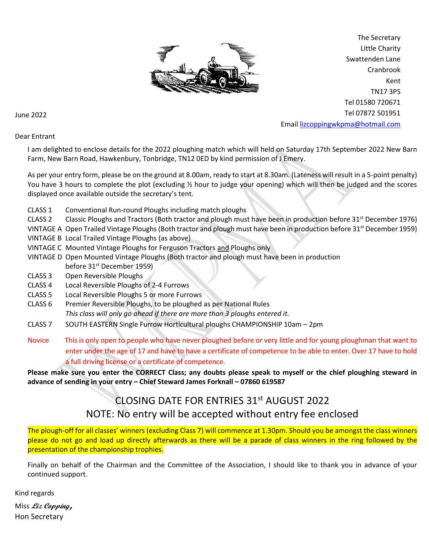

The Secretary Little Charity Swattenden Lane Cranbrook Kent TN17 3PS Tel 01580 720671 Tel 07872 501951 Email [lizcoppingwkpma@hotmail.com](mailto:lizcoppingwkpma@hotmail.com)

June 2022

### Dear Entrant

I am delighted to enclose details for the 2022 ploughing match which will held on Saturday 17th September 2022 New Barn Farm, New Barn Road, Hawkenbury, Tonbridge, TN12 0ED by kind permission of J Emery.

As per your entry form, please be on the ground at 8.00am, ready to start at 8.30am. (Lateness will result in a 5-point penalty) You have 3 hours to complete the plot (excluding % hour to judge your opening) which will then be judged and the scores displayed once available outside the secretary's tent.

- CLASS 1 Conventional Run-round Ploughs including match ploughs
- CLASS 2 Classic Ploughs and Tractors (Both tractor and plough must have been in production before 31<sup>st</sup> December 1976)
- VINTAGE A Open Trailed Vintage Ploughs (Both tractor and plough must have been in production before 31<sup>st</sup> December 1959)
- VINTAGE B Local Trailed Vintage Ploughs (as above)
- VINTAGE C Mounted Vintage Ploughs for Ferguson Tractors and Ploughs only
- VINTAGE D Open Mounted Vintage Ploughs (Both tractor and plough must have been in production before 31<sup>st</sup> December 1959)
- CLASS 3 Open Reversible Ploughs
- CLASS 4 Local Reversible Ploughs of 2-4 Furrows
- CLASS 5 Local Reversible Ploughs 5 or more Furrows
- CLASS 6 Premier Reversible Ploughs, to be ploughed as per National Rules *This class will only go ahead if there are more than 3 ploughs entered it.*
- CLASS 7 SOUTH EASTERN Single Furrow Horticultural ploughs CHAMPIONSHIP 10am 2pm

Novice This is only open to people who have never ploughed before or very little and for young ploughman that want to enter under the age of 17 and have to have a certificate of competence to be able to enter. Over 17 have to hold a full driving license or a certificate of competence.

**Please make sure you enter the CORRECT Class; any doubts please speak to myself or the chief ploughing steward in advance of sending in your entry – Chief Steward James Forknall – 07860 619587**

> CLOSING DATE FOR ENTRIES 31st AUGUST 2022 NOTE: No entry will be accepted without entry fee enclosed

The plough-off for all classes' winners (excluding Class 7) will commence at 1.30pm. Should you be amongst the class winners please do not go and load up directly afterwards as there will be a parade of class winners in the ring followed by the presentation of the championship trophies.

Finally on behalf of the Chairman and the Committee of the Association, I should like to thank you in advance of your continued support.

Kind regards

Miss **Liz Copping,**  Hon Secretary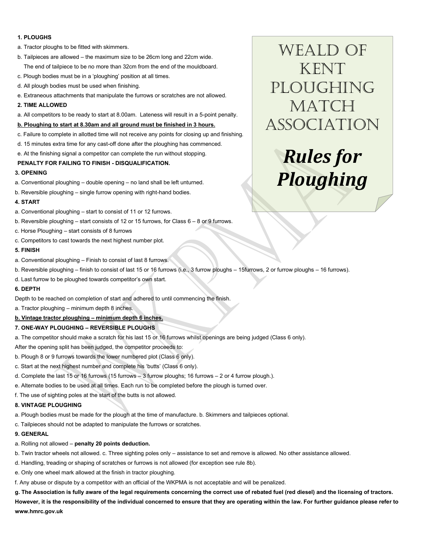#### **1. PLOUGHS**

- a. Tractor ploughs to be fitted with skimmers.
- b. Tailpieces are allowed the maximum size to be 26cm long and 22cm wide. The end of tailpiece to be no more than 32cm from the end of the mouldboard.
- c. Plough bodies must be in a 'ploughing' position at all times.
- d. All plough bodies must be used when finishing.
- e. Extraneous attachments that manipulate the furrows or scratches are not allowed.

#### **2. TIME ALLOWED**

a. All competitors to be ready to start at 8.00am. Lateness will result in a 5-point penalty.

#### **b. Ploughing to start at 8.30am and all ground must be finished in 3 hours.**

- c. Failure to complete in allotted time will not receive any points for closing up and finishing.
- d. 15 minutes extra time for any cast-off done after the ploughing has commenced.
- e. At the finishing signal a competitor can complete the run without stopping.

#### **PENALTY FOR FAILING TO FINISH - DISQUALIFICATION.**

#### **3. OPENING**

- a. Conventional ploughing double opening no land shall be left unturned.
- b. Reversible ploughing single furrow opening with right-hand bodies.

#### **4. START**

- a. Conventional ploughing start to consist of 11 or 12 furrows.
- b. Reversible ploughing start consists of 12 or 15 furrows, for Class 6 8 or 9 furrows.
- c. Horse Ploughing start consists of 8 furrows
- c. Competitors to cast towards the next highest number plot.

#### **5. FINISH**

- a. Conventional ploughing Finish to consist of last 8 furrows.
- b. Reversible ploughing finish to consist of last 15 or 16 furrows (i.e., 3 furrow ploughs 15furrows, 2 or furrow ploughs 16 furrows).
- d. Last furrow to be ploughed towards competitor's own start.

#### **6. DEPTH**

Depth to be reached on completion of start and adhered to until commencing the finish.

a. Tractor ploughing – minimum depth 8 inches.

#### **b. Vintage tractor ploughing – minimum depth 6 inches.**

#### **7. ONE-WAY PLOUGHING – REVERSIBLE PLOUGHS**

- a. The competitor should make a scratch for his last 15 or 16 furrows whilst openings are being judged (Class 6 only).
- After the opening split has been judged, the competitor proceeds to:
- b. Plough 8 or 9 furrows towards the lower numbered plot (Class 6 only).
- c. Start at the next highest number and complete his 'butts' (Class 6 only).
- d. Complete the last 15 or 16 furrows (15 furrows 3 furrow ploughs; 16 furrows 2 or 4 furrow plough.).
- e. Alternate bodies to be used at all times. Each run to be completed before the plough is turned over.
- f. The use of sighting poles at the start of the butts is not allowed.

#### **8. VINTAGE PLOUGHING**

- a. Plough bodies must be made for the plough at the time of manufacture. b. Skimmers and tailpieces optional.
- c. Tailpieces should not be adapted to manipulate the furrows or scratches.

#### **9. GENERAL**

- a. Rolling not allowed **penalty 20 points deduction.**
- b. Twin tractor wheels not allowed. c. Three sighting poles only assistance to set and remove is allowed. No other assistance allowed.
- d. Handling, treading or shaping of scratches or furrows is not allowed (for exception see rule 8b).
- e. Only one wheel mark allowed at the finish in tractor ploughing.
- f. Any abuse or dispute by a competitor with an official of the WKPMA is not acceptable and will be penalized.

## **g. The Association is fully aware of the legal requirements concerning the correct use of rebated fuel (red diesel) and the licensing of tractors. However, it is the responsibility of the individual concerned to ensure that they are operating within the law. For further guidance please refer to www.hmrc.gov.uk**

Weald of **KENT** PLOUGHING MATCH Association

# *Rules for Ploughing*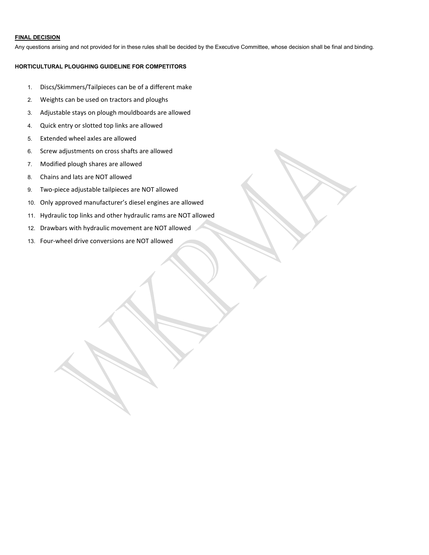#### **FINAL DECISION**

Any questions arising and not provided for in these rules shall be decided by the Executive Committee, whose decision shall be final and binding.

## **HORTICULTURAL PLOUGHING GUIDELINE FOR COMPETITORS**

- 1. Discs/Skimmers/Tailpieces can be of a different make
- 2. Weights can be used on tractors and ploughs
- 3. Adjustable stays on plough mouldboards are allowed
- 4. Quick entry or slotted top links are allowed
- 5. Extended wheel axles are allowed
- 6. Screw adjustments on cross shafts are allowed
- 7. Modified plough shares are allowed
- 8. Chains and lats are NOT allowed
- 9. Two-piece adjustable tailpieces are NOT allowed
- 10. Only approved manufacturer's diesel engines are allowed
- 11. Hydraulic top links and other hydraulic rams are NOT allowed
- 12. Drawbars with hydraulic movement are NOT allowed
- 13. Four-wheel drive conversions are NOT allowed